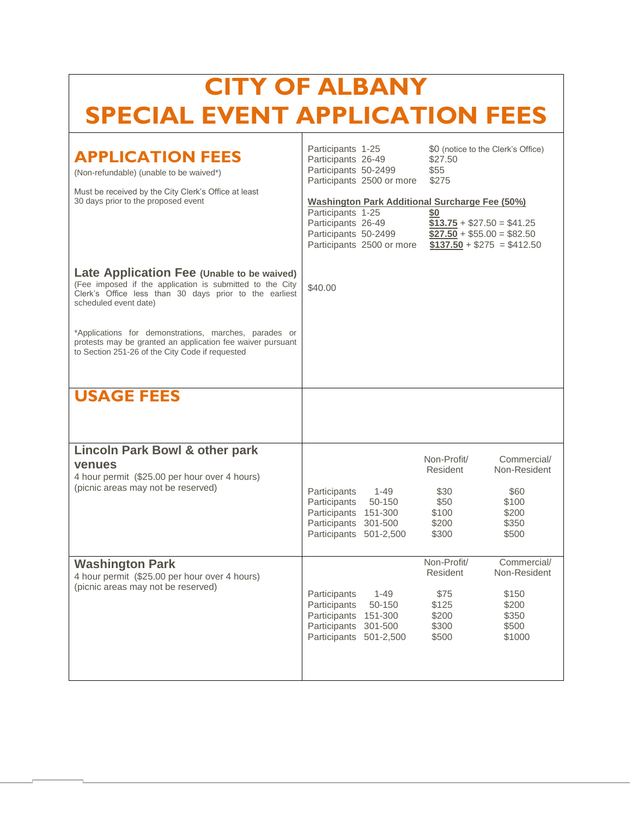| <b>CITY OF ALBANY</b><br><b>SPECIAL EVENT APPLICATION FEES</b>                                                                                                                                                                                                                                                                                                      |                                                                                                                                                                                                                                                       |                                                                                                                                                                |  |  |
|---------------------------------------------------------------------------------------------------------------------------------------------------------------------------------------------------------------------------------------------------------------------------------------------------------------------------------------------------------------------|-------------------------------------------------------------------------------------------------------------------------------------------------------------------------------------------------------------------------------------------------------|----------------------------------------------------------------------------------------------------------------------------------------------------------------|--|--|
| <b>APPLICATION FEES</b><br>(Non-refundable) (unable to be waived*)<br>Must be received by the City Clerk's Office at least<br>30 days prior to the proposed event                                                                                                                                                                                                   | Participants 1-25<br>Participants 26-49<br>Participants 50-2499<br>Participants 2500 or more<br><b>Washington Park Additional Surcharge Fee (50%)</b><br>Participants 1-25<br>Participants 26-49<br>Participants 50-2499<br>Participants 2500 or more | \$0 (notice to the Clerk's Office)<br>\$27.50<br>\$55<br>\$275<br>SO<br>$$13.75 + $27.50 = $41.25$<br>$$27.50 + $55.00 = $82.50$<br>$$137.50 + $275 = $412.50$ |  |  |
| Late Application Fee (Unable to be waived)<br>(Fee imposed if the application is submitted to the City<br>Clerk's Office less than 30 days prior to the earliest<br>scheduled event date)<br>*Applications for demonstrations, marches, parades or<br>protests may be granted an application fee waiver pursuant<br>to Section 251-26 of the City Code if requested | \$40.00                                                                                                                                                                                                                                               |                                                                                                                                                                |  |  |
| <b>USAGE FEES</b>                                                                                                                                                                                                                                                                                                                                                   |                                                                                                                                                                                                                                                       |                                                                                                                                                                |  |  |
| <b>Lincoln Park Bowl &amp; other park</b><br>venues<br>4 hour permit (\$25.00 per hour over 4 hours)<br>(picnic areas may not be reserved)                                                                                                                                                                                                                          | Participants<br>$1 - 49$<br>Participants 50-150<br>Participants 151-300<br>Participants 301-500<br>Participants 501-2,500                                                                                                                             | Non-Profit/<br>Commercial/<br>Resident<br>Non-Resident<br>\$30<br>\$60<br>\$50<br>\$100<br>\$200<br>\$100<br>\$200<br>\$350<br>\$300<br>\$500                  |  |  |
| <b>Washington Park</b><br>4 hour permit (\$25.00 per hour over 4 hours)<br>(picnic areas may not be reserved)                                                                                                                                                                                                                                                       | $1 - 49$<br>Participants<br>50-150<br>Participants<br>Participants 151-300<br>Participants 301-500<br>Participants 501-2,500                                                                                                                          | Non-Profit/<br>Commercial/<br>Resident<br>Non-Resident<br>\$75<br>\$150<br>\$125<br>\$200<br>\$200<br>\$350<br>\$300<br>\$500<br>\$500<br>\$1000               |  |  |